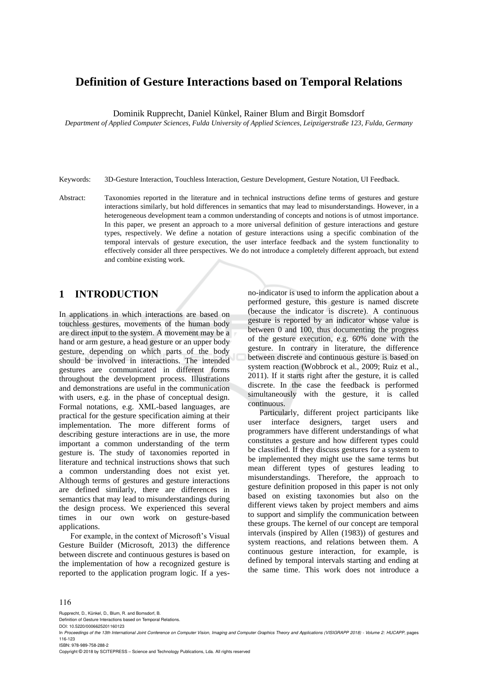# **Definition of Gesture Interactions based on Temporal Relations**

Dominik Rupprecht, Daniel Künkel, Rainer Blum and Birgit Bomsdorf

*Department of Applied Computer Sciences, Fulda University of Applied Sciences, Leipzigerstraße 123, Fulda, Germany*

Keywords: 3D-Gesture Interaction, Touchless Interaction, Gesture Development, Gesture Notation, UI Feedback.

Abstract: Taxonomies reported in the literature and in technical instructions define terms of gestures and gesture interactions similarly, but hold differences in semantics that may lead to misunderstandings. However, in a heterogeneous development team a common understanding of concepts and notions is of utmost importance. In this paper, we present an approach to a more universal definition of gesture interactions and gesture types, respectively. We define a notation of gesture interactions using a specific combination of the temporal intervals of gesture execution, the user interface feedback and the system functionality to effectively consider all three perspectives. We do not introduce a completely different approach, but extend and combine existing work.

# **1 INTRODUCTION**

In applications in which interactions are based on touchless gestures, movements of the human body are direct input to the system. A movement may be a hand or arm gesture, a head gesture or an upper body gesture, depending on which parts of the body should be involved in interactions. The intended gestures are communicated in different forms throughout the development process. Illustrations and demonstrations are useful in the communication with users, e.g. in the phase of conceptual design. Formal notations, e.g. XML-based languages, are practical for the gesture specification aiming at their implementation. The more different forms of describing gesture interactions are in use, the more important a common understanding of the term gesture is. The study of taxonomies reported in literature and technical instructions shows that such a common understanding does not exist yet. Although terms of gestures and gesture interactions are defined similarly, there are differences in semantics that may lead to misunderstandings during the design process. We experienced this several times in our own work on gesture-based applications.

For example, in the context of Microsoft's Visual Gesture Builder (Microsoft, 2013) the difference between discrete and continuous gestures is based on the implementation of how a recognized gesture is reported to the application program logic. If a yes-

no-indicator is used to inform the application about a performed gesture, this gesture is named discrete (because the indicator is discrete). A continuous gesture is reported by an indicator whose value is between 0 and 100, thus documenting the progress of the gesture execution, e.g. 60% done with the gesture. In contrary in literature, the difference between discrete and continuous gesture is based on system reaction (Wobbrock et al., 2009; Ruiz et al., 2011). If it starts right after the gesture, it is called discrete. In the case the feedback is performed simultaneously with the gesture, it is called continuous.

Particularly, different project participants like user interface designers, target users and programmers have different understandings of what constitutes a gesture and how different types could be classified. If they discuss gestures for a system to be implemented they might use the same terms but mean different types of gestures leading to misunderstandings. Therefore, the approach to gesture definition proposed in this paper is not only based on existing taxonomies but also on the different views taken by project members and aims to support and simplify the communication between these groups. The kernel of our concept are temporal intervals (inspired by Allen (1983)) of gestures and system reactions, and relations between them. A continuous gesture interaction, for example, is defined by temporal intervals starting and ending at the same time. This work does not introduce a

#### 116

Rupprecht, D., Künkel, D., Blum, R. and Bomsdorf, B.

Definition of Gesture Interactions based on Temporal Relations.

DOI: 10.5220/0006625201160123

ISBN: 978-989-758-288-2

Copyright © 2018 by SCITEPRESS – Science and Technology Publications, Lda. All rights reserved

In *Proceedings of the 13th International Joint Conference on Computer Vision, Imaging and Computer Graphics Theory and Applications (VISIGRAPP 2018) - Volume 2: HUCAPP*, pages 116-123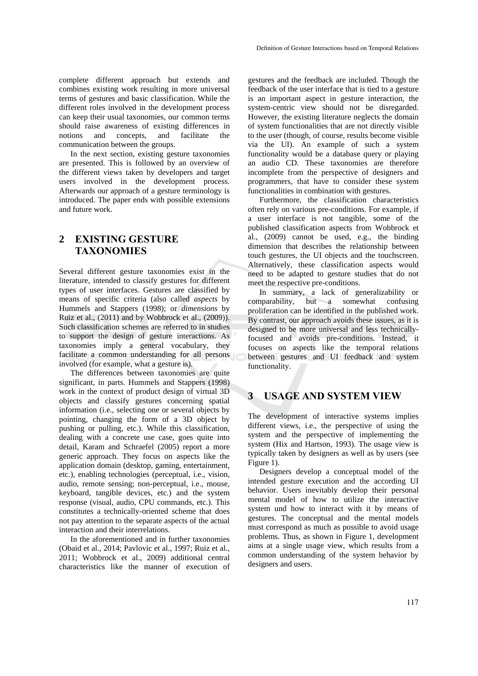complete different approach but extends and combines existing work resulting in more universal terms of gestures and basic classification. While the different roles involved in the development process can keep their usual taxonomies, our common terms should raise awareness of existing differences in notions and concepts, and facilitate the communication between the groups.

In the next section, existing gesture taxonomies are presented. This is followed by an overview of the different views taken by developers and target users involved in the development process. Afterwards our approach of a gesture terminology is introduced. The paper ends with possible extensions and future work.

## **2 EXISTING GESTURE TAXONOMIES**

Several different gesture taxonomies exist in the literature, intended to classify gestures for different types of user interfaces. Gestures are classified by means of specific criteria (also called *aspects* by Hummels and Stappers (1998); or *dimensions* by Ruiz et al., (2011) and by Wobbrock et al., (2009)). Such classification schemes are referred to in studies to support the design of gesture interactions. As taxonomies imply a general vocabulary, they facilitate a common understanding for all persons involved (for example, what a gesture is).

The differences between taxonomies are quite significant, in parts. Hummels and Stappers (1998) work in the context of product design of virtual 3D objects and classify gestures concerning spatial information (i.e., selecting one or several objects by pointing, changing the form of a 3D object by pushing or pulling, etc.). While this classification, dealing with a concrete use case, goes quite into detail, Karam and Schraefel (2005) report a more generic approach. They focus on aspects like the application domain (desktop, gaming, entertainment, etc.), enabling technologies (perceptual, i.e., vision, audio, remote sensing; non-perceptual, i.e., mouse, keyboard, tangible devices, etc.) and the system response (visual, audio, CPU commands, etc.). This constitutes a technically-oriented scheme that does not pay attention to the separate aspects of the actual interaction and their interrelations.

In the aforementioned and in further taxonomies (Obaid et al., 2014; Pavlovic et al., 1997; Ruiz et al., 2011; Wobbrock et al., 2009) additional central characteristics like the manner of execution of

gestures and the feedback are included. Though the feedback of the user interface that is tied to a gesture is an important aspect in gesture interaction, the system-centric view should not be disregarded. However, the existing literature neglects the domain of system functionalities that are not directly visible to the user (though, of course, results become visible via the UI). An example of such a system functionality would be a database query or playing an audio CD. These taxonomies are therefore incomplete from the perspective of designers and programmers, that have to consider these system functionalities in combination with gestures.

Furthermore, the classification characteristics often rely on various pre-conditions. For example, if a user interface is not tangible, some of the published classification aspects from Wobbrock et al., (2009) cannot be used, e.g., the binding dimension that describes the relationship between touch gestures, the UI objects and the touchscreen. Alternatively, these classification aspects would need to be adapted to gesture studies that do not meet the respective pre-conditions.

In summary, a lack of generalizability or comparability, but a somewhat confusing proliferation can be identified in the published work. By contrast, our approach avoids these issues, as it is designed to be more universal and less technicallyfocused and avoids pre-conditions. Instead, it focuses on aspects like the temporal relations between gestures and UI feedback and system functionality.

#### **3 USAGE AND SYSTEM VIEW**

The development of interactive systems implies different views, i.e., the perspective of using the system and the perspective of implementing the system (Hix and Hartson, 1993). The usage view is typically taken by designers as well as by users (see Figure 1).

Designers develop a conceptual model of the intended gesture execution and the according UI behavior. Users inevitably develop their personal mental model of how to utilize the interactive system und how to interact with it by means of gestures. The conceptual and the mental models must correspond as much as possible to avoid usage problems. Thus, as shown in Figure 1, development aims at a single usage view, which results from a common understanding of the system behavior by designers and users.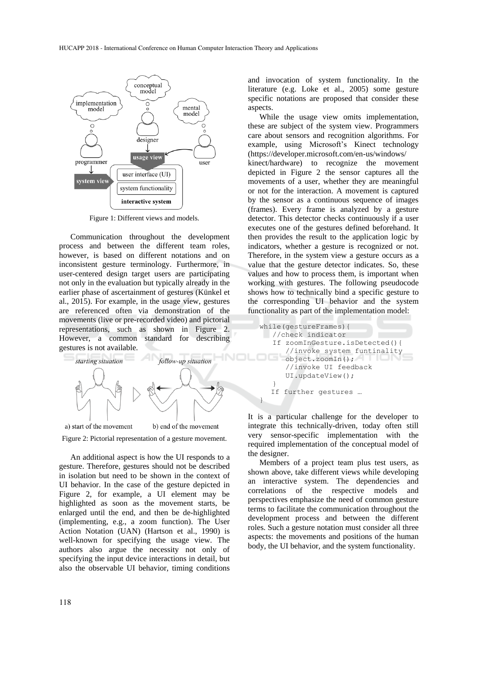

Figure 1: Different views and models.

Communication throughout the development process and between the different team roles, however, is based on different notations and on inconsistent gesture terminology. Furthermore, in user-centered design target users are participating not only in the evaluation but typically already in the earlier phase of ascertainment of gestures (Künkel et al., 2015). For example, in the usage view, gestures are referenced often via demonstration of the movements (live or pre-recorded video) and pictorial representations, such as shown in Figure 2. However, a common standard for describing gestures is not available.



Figure 2: Pictorial representation of a gesture movement.

An additional aspect is how the UI responds to a gesture. Therefore, gestures should not be described in isolation but need to be shown in the context of UI behavior. In the case of the gesture depicted in Figure 2, for example, a UI element may be highlighted as soon as the movement starts, be enlarged until the end, and then be de-highlighted (implementing, e.g., a zoom function). The User Action Notation (UAN) (Hartson et al., 1990) is well-known for specifying the usage view. The authors also argue the necessity not only of specifying the input device interactions in detail, but also the observable UI behavior, timing conditions and invocation of system functionality. In the literature (e.g. Loke et al., 2005) some gesture specific notations are proposed that consider these aspects.

While the usage view omits implementation, these are subject of the system view. Programmers care about sensors and recognition algorithms. For example, using Microsoft's Kinect technology (https://developer.microsoft.com/en-us/windows/ kinect/hardware) to recognize the movement depicted in Figure 2 the sensor captures all the movements of a user, whether they are meaningful or not for the interaction. A movement is captured by the sensor as a continuous sequence of images (frames). Every frame is analyzed by a gesture detector. This detector checks continuously if a user executes one of the gestures defined beforehand. It then provides the result to the application logic by indicators, whether a gesture is recognized or not. Therefore, in the system view a gesture occurs as a value that the gesture detector indicates. So, these values and how to process them, is important when working with gestures. The following pseudocode shows how to technically bind a specific gesture to the corresponding UI behavior and the system functionality as part of the implementation model:

```
while(gestureFrames){
    //check indicator
    If zoomInGesture.isDetected(){
       //invoke system funtinality
       object.zoomIn();
       //invoke UI feedback
       UI.updateView();
 }
  If further gestures … 
}
```
It is a particular challenge for the developer to integrate this technically-driven, today often still very sensor-specific implementation with the required implementation of the conceptual model of the designer.

Members of a project team plus test users, as shown above, take different views while developing an interactive system. The dependencies and correlations of the respective models and perspectives emphasize the need of common gesture terms to facilitate the communication throughout the development process and between the different roles. Such a gesture notation must consider all three aspects: the movements and positions of the human body, the UI behavior, and the system functionality.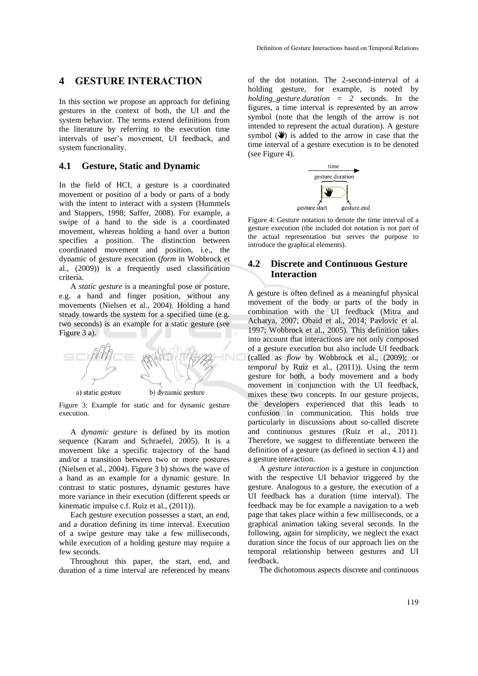#### **4 GESTURE INTERACTION**

In this section we propose an approach for defining gestures in the context of both, the UI and the system behavior. The terms extend definitions from the literature by referring to the execution time intervals of user's movement, UI feedback, and system functionality.

#### **4.1 Gesture, Static and Dynamic**

In the field of HCI, a gesture is a coordinated movement or position of a body or parts of a body with the intent to interact with a system (Hummels and Stappers, 1998; Saffer, 2008). For example, a swipe of a hand to the side is a coordinated movement, whereas holding a hand over a button specifies a position. The distinction between coordinated movement and position, i.e., the dynamic of gesture execution (*form* in Wobbrock et al., (2009)) is a frequently used classification criteria.

A *static gesture* is a meaningful pose or posture, e.g. a hand and finger position, without any movements (Nielsen et al., 2004). Holding a hand steady towards the system for a specified time (e.g. two seconds) is an example for a static gesture (see Figure 3 a).



Figure 3: Example for static and for dynamic gesture execution.

A *dynamic gesture* is defined by its motion sequence (Karam and Schraefel, 2005). It is a movement like a specific trajectory of the hand and/or a transition between two or more postures (Nielsen et al., 2004). Figure 3 b) shows the wave of a hand as an example for a dynamic gesture. In contrast to static postures, dynamic gestures have more variance in their execution (different speeds or kinematic impulse c.f. Ruiz et al., (2011)).

Each gesture execution possesses a start, an end, and a duration defining its time interval. Execution of a swipe gesture may take a few milliseconds, while execution of a holding gesture may require a few seconds.

Throughout this paper, the start, end, and duration of a time interval are referenced by means

of the dot notation. The 2-second-interval of a holding gesture, for example, is noted by *holding\_gesture.duration = 2* seconds. In the figures, a time interval is represented by an arrow symbol (note that the length of the arrow is not intended to represent the actual duration). A gesture symbol  $(\mathbf{\mathcal{F}})$  is added to the arrow in case that the time interval of a gesture execution is to be denoted (see Figure 4).



Figure 4: Gesture notation to denote the time interval of a gesture execution (the included dot notation is not part of the actual representation but serves the purpose to introduce the graphical elements).

#### **4.2 Discrete and Continuous Gesture Interaction**

A gesture is often defined as a meaningful physical movement of the body or parts of the body in combination with the UI feedback (Mitra and Acharya, 2007; Obaid et al., 2014; Pavlovic et al. 1997; Wobbrock et al., 2005). This definition takes into account that interactions are not only composed of a gesture execution but also include UI feedback (called as *flow* by Wobbrock et al., (2009); or *temporal* by Ruiz et al., (2011)). Using the term gesture for both, a body movement and a body movement in conjunction with the UI feedback, mixes these two concepts. In our gesture projects, the developers experienced that this leads to confusion in communication. This holds true particularly in discussions about so-called discrete and continuous gestures (Ruiz et al., 2011). Therefore, we suggest to differentiate between the definition of a gesture (as defined in section 4.1) and a gesture interaction.

A *gesture interaction* is a gesture in conjunction with the respective UI behavior triggered by the gesture. Analogous to a gesture, the execution of a UI feedback has a duration (time interval). The feedback may be for example a navigation to a web page that takes place within a few milliseconds, or a graphical animation taking several seconds. In the following, again for simplicity, we neglect the exact duration since the focus of our approach lies on the temporal relationship between gestures and UI feedback.

The dichotomous aspects discrete and continuous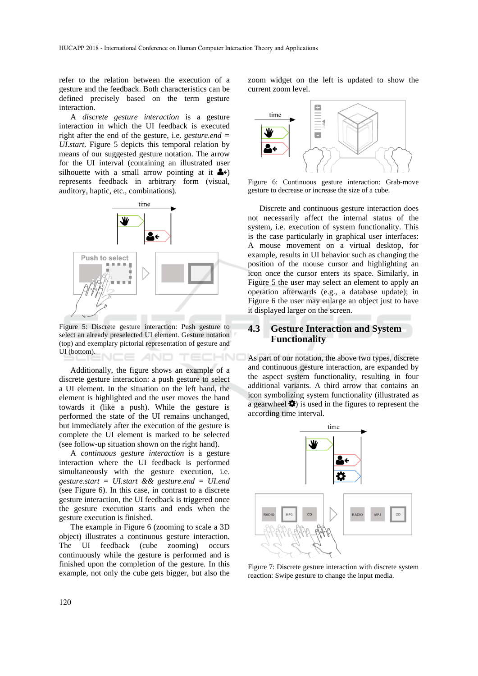refer to the relation between the execution of a gesture and the feedback. Both characteristics can be defined precisely based on the term gesture interaction.

A *discrete gesture interaction* is a gesture interaction in which the UI feedback is executed right after the end of the gesture, i.e. *gesture.end = UI.start*. Figure 5 depicts this temporal relation by means of our suggested gesture notation. The arrow for the UI interval (containing an illustrated user silhouette with a small arrow pointing at it  $\triangleq$ represents feedback in arbitrary form (visual, auditory, haptic, etc., combinations).



Figure 5: Discrete gesture interaction: Push gesture to select an already preselected UI element. Gesture notation (top) and exemplary pictorial representation of gesture and UI (bottom). VCE AND TECHNO

Additionally, the figure shows an example of a discrete gesture interaction: a push gesture to select a UI element. In the situation on the left hand, the element is highlighted and the user moves the hand towards it (like a push). While the gesture is performed the state of the UI remains unchanged, but immediately after the execution of the gesture is complete the UI element is marked to be selected (see follow-up situation shown on the right hand).

A *continuous gesture interaction* is a gesture interaction where the UI feedback is performed simultaneously with the gesture execution, i.e. *gesture.start = UI.start && gesture.end = UI.end*  (see Figure 6). In this case, in contrast to a discrete gesture interaction, the UI feedback is triggered once the gesture execution starts and ends when the gesture execution is finished.

The example in Figure 6 (zooming to scale a 3D object) illustrates a continuous gesture interaction. The UI feedback (cube zooming) occurs continuously while the gesture is performed and is finished upon the completion of the gesture. In this example, not only the cube gets bigger, but also the zoom widget on the left is updated to show the current zoom level.



Figure 6: Continuous gesture interaction: Grab-move gesture to decrease or increase the size of a cube.

Discrete and continuous gesture interaction does not necessarily affect the internal status of the system, i.e. execution of system functionality. This is the case particularly in graphical user interfaces: A mouse movement on a virtual desktop, for example, results in UI behavior such as changing the position of the mouse cursor and highlighting an icon once the cursor enters its space. Similarly, in Figure 5 the user may select an element to apply an operation afterwards (e.g., a database update); in Figure 6 the user may enlarge an object just to have it displayed larger on the screen.

#### **4.3 Gesture Interaction and System Functionality**

As part of our notation, the above two types, discrete and continuous gesture interaction, are expanded by the aspect system functionality, resulting in four additional variants. A third arrow that contains an icon symbolizing system functionality (illustrated as a gearwheel  $\bullet$ ) is used in the figures to represent the according time interval.



Figure 7: Discrete gesture interaction with discrete system reaction: Swipe gesture to change the input media.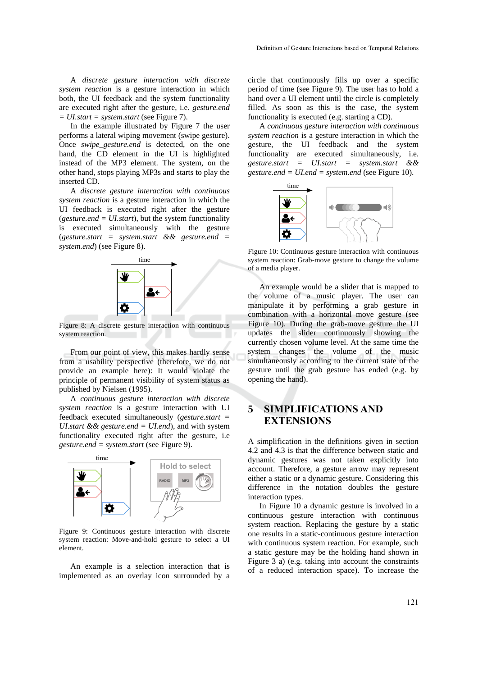A *discrete gesture interaction with discrete system reaction* is a gesture interaction in which both, the UI feedback and the system functionality are executed right after the gesture, i.e. *gesture.end = UI.start = system.start* (see Figure 7).

In the example illustrated by Figure 7 the user performs a lateral wiping movement (swipe gesture). Once *swipe\_gesture.end* is detected, on the one hand, the CD element in the UI is highlighted instead of the MP3 element. The system, on the other hand, stops playing MP3s and starts to play the inserted CD.

A *discrete gesture interaction with continuous system reaction* is a gesture interaction in which the UI feedback is executed right after the gesture (*gesture.end = UI.start*), but the system functionality is executed simultaneously with the gesture (*gesture.start = system.start && gesture.end = system.end*) (see Figure 8).



Figure 8: A discrete gesture interaction with continuous system reaction.

From our point of view, this makes hardly sense from a usability perspective (therefore, we do not provide an example here): It would violate the principle of permanent visibility of system status as published by Nielsen (1995).

A *continuous gesture interaction with discrete system reaction* is a gesture interaction with UI feedback executed simultaneously (*gesture.start = UI.start && gesture.end = UI.end*), and with system functionality executed right after the gesture, i.e *gesture.end = system.start* (see Figure 9).



Figure 9: Continuous gesture interaction with discrete system reaction: Move-and-hold gesture to select a UI element.

An example is a selection interaction that is implemented as an overlay icon surrounded by a circle that continuously fills up over a specific period of time (see Figure 9). The user has to hold a hand over a UI element until the circle is completely filled. As soon as this is the case, the system functionality is executed (e.g. starting a CD).

A *continuous gesture interaction with continuous system reaction* is a gesture interaction in which the gesture, the UI feedback and the system functionality are executed simultaneously, i.e. *gesture.start = UI.start = system.start && gesture.end = UI.end = system.end* (see Figure 10).



Figure 10: Continuous gesture interaction with continuous system reaction: Grab-move gesture to change the volume of a media player.

An example would be a slider that is mapped to the volume of a music player. The user can manipulate it by performing a grab gesture in combination with a horizontal move gesture (see Figure 10). During the grab-move gesture the UI updates the slider continuously showing the currently chosen volume level. At the same time the system changes the volume of the music simultaneously according to the current state of the gesture until the grab gesture has ended (e.g. by opening the hand).

# **5 SIMPLIFICATIONS AND EXTENSIONS**

A simplification in the definitions given in section 4.2 and 4.3 is that the difference between static and dynamic gestures was not taken explicitly into account. Therefore, a gesture arrow may represent either a static or a dynamic gesture. Considering this difference in the notation doubles the gesture interaction types.

In Figure 10 a dynamic gesture is involved in a continuous gesture interaction with continuous system reaction. Replacing the gesture by a static one results in a static-continuous gesture interaction with continuous system reaction. For example, such a static gesture may be the holding hand shown in Figure 3 a) (e.g. taking into account the constraints of a reduced interaction space). To increase the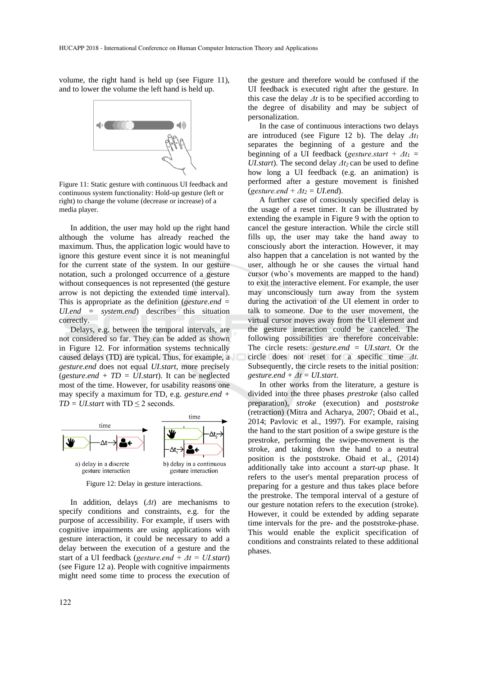volume, the right hand is held up (see Figure 11), and to lower the volume the left hand is held up.



Figure 11: Static gesture with continuous UI feedback and continuous system functionality: Hold-up gesture (left or right) to change the volume (decrease or increase) of a media player.

In addition, the user may hold up the right hand although the volume has already reached the maximum. Thus, the application logic would have to ignore this gesture event since it is not meaningful for the current state of the system. In our gesture notation, such a prolonged occurrence of a gesture without consequences is not represented (the gesture arrow is not depicting the extended time interval). This is appropriate as the definition (*gesture.end = UI.end = system.end*) describes this situation correctly.

Delays, e.g. between the temporal intervals, are not considered so far. They can be added as shown in Figure 12. For information systems technically caused delays (TD) are typical. Thus, for example, a *gesture.end* does not equal *UI.start,* more precisely (*gesture.end + TD = UI.start*). It can be neglected most of the time. However, for usability reasons one may specify a maximum for TD, e.g. *gesture.end +*   $TD = UI.start$  with  $TD \leq 2$  seconds.



Figure 12: Delay in gesture interactions.

In addition, delays (*Δt*) are mechanisms to specify conditions and constraints, e.g. for the purpose of accessibility. For example, if users with cognitive impairments are using applications with gesture interaction, it could be necessary to add a delay between the execution of a gesture and the start of a UI feedback (*gesture.end + Δt = UI.start*) (see Figure 12 a). People with cognitive impairments might need some time to process the execution of

the gesture and therefore would be confused if the UI feedback is executed right after the gesture. In this case the delay *Δt* is to be specified according to the degree of disability and may be subject of personalization.

In the case of continuous interactions two delays are introduced (see Figure 12 b). The delay *Δt<sup>1</sup>* separates the beginning of a gesture and the beginning of a UI feedback (*gesture.start* +  $\Delta t_1$  = *UI.start*). The second delay *Δt2* can be used to define how long a UI feedback (e.g. an animation) is performed after a gesture movement is finished (*gesture.end* +  $\Delta t_2$  = *UI.end*).

A further case of consciously specified delay is the usage of a reset timer. It can be illustrated by extending the example in Figure 9 with the option to cancel the gesture interaction. While the circle still fills up, the user may take the hand away to consciously abort the interaction. However, it may also happen that a cancelation is not wanted by the user, although he or she causes the virtual hand cursor (who's movements are mapped to the hand) to exit the interactive element. For example, the user may unconsciously turn away from the system during the activation of the UI element in order to talk to someone. Due to the user movement, the virtual cursor moves away from the UI element and the gesture interaction could be canceled. The following possibilities are therefore conceivable: The circle resets: *gesture.end = UI.start*. Or the circle does not reset for a specific time *Δt.*  Subsequently, the circle resets to the initial position: *gesture.end*  $+$   $\Delta t$  = *UI.start.* 

In other works from the literature, a gesture is divided into the three phases *prestroke* (also called preparation), *stroke* (execution) and *poststroke* (retraction) (Mitra and Acharya, 2007; Obaid et al., 2014; Pavlovic et al., 1997). For example, raising the hand to the start position of a swipe gesture is the prestroke, performing the swipe-movement is the stroke, and taking down the hand to a neutral position is the poststroke. Obaid et al., (2014) additionally take into account a *start-up* phase. It refers to the user's mental preparation process of preparing for a gesture and thus takes place before the prestroke. The temporal interval of a gesture of our gesture notation refers to the execution (stroke). However, it could be extended by adding separate time intervals for the pre- and the poststroke-phase. This would enable the explicit specification of conditions and constraints related to these additional phases.